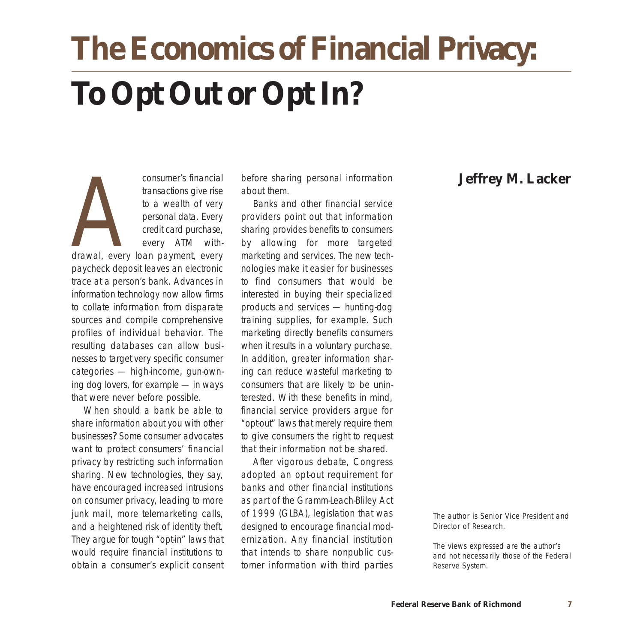# **The Economics of Financial Privacy: To Opt Out or Opt In?**

consumer's financial<br>transactions give rise<br>to a wealth of very<br>personal data. Every<br>credit card purchase,<br>every ATM with-<br>drawal, every loan payment, every<br>paychock donosit loaves an electronic transactions give rise to a wealth of very personal data. Every credit card purchase, every ATM withdrawal, every loan payment, every paycheck deposit leaves an electronic trace at a person's bank. Advances in information technology now allow firms to collate information from disparate sources and compile comprehensive profiles of individual behavior. The resulting databases can allow businesses to target very specific consumer categories — high-income, gun-owning dog lovers, for example — in ways that were never before possible.

When should a bank be able to share information about you with other businesses? Some consumer advocates want to protect consumers' financial privacy by restricting such information sharing. New technologies, they say, have encouraged increased intrusions on consumer privacy, leading to more junk mail, more telemarketing calls, and a heightened risk of identity theft. They argue for tough "opt-in" laws that would require financial institutions to obtain a consumer's explicit consent before sharing personal information about them.

Banks and other financial service providers point out that information sharing provides benefits to consumers by allowing for more targeted marketing and services. The new technologies make it easier for businesses to find consumers that would be interested in buying their specialized products and services — hunting-dog training supplies, for example. Such marketing directly benefits consumers when it results in a voluntary purchase. In addition, greater information sharing can reduce wasteful marketing to consumers that are likely to be uninterested. With these benefits in mind, financial service providers argue for "opt-out" laws that merely require them to give consumers the right to request that their information not be shared.

After vigorous debate, Congress adopted an opt-out requirement for banks and other financial institutions as part of the Gramm-Leach-Bliley Act of 1999 (GLBA), legislation that was designed to encourage financial modernization. Any financial institution that intends to share nonpublic customer information with third parties

## **Jeffrey M. Lacker**

*The author is Senior Vice President and Director of Research.*

*The views expressed are the author's and not necessarily those of the Federal Reserve System.*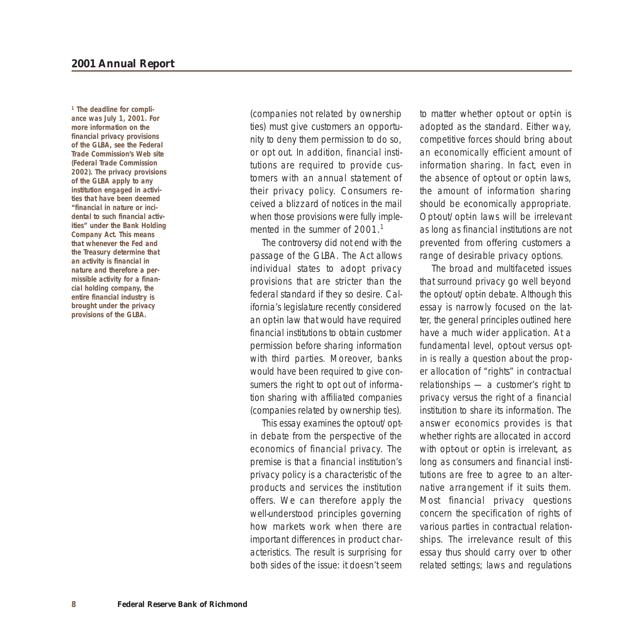**<sup>1</sup> The deadline for compliance was July 1, 2001. For more information on the financial privacy provisions of the GLBA, see the Federal Trade Commission's Web site (Federal Trade Commission 2002). The privacy provisions of the GLBA apply to any institution engaged in activities that have been deemed "financial in nature or incidental to such financial activities" under the Bank Holding Company Act. This means that whenever the Fed and the Treasury determine that an activity is financial in nature and therefore a permissible activity for a financial holding company, the entire financial industry is brought under the privacy provisions of the GLBA.**

(companies not related by ownership ties) must give customers an opportunity to deny them permission to do so, or opt out. In addition, financial institutions are required to provide customers with an annual statement of their privacy policy. Consumers received a blizzard of notices in the mail when those provisions were fully implemented in the summer of  $2001<sup>1</sup>$ 

The controversy did not end with the passage of the GLBA. The Act allows individual states to adopt privacy provisions that are stricter than the federal standard if they so desire. California's legislature recently considered an opt-in law that would have required financial institutions to obtain customer permission before sharing information with third parties. Moreover, banks would have been required to give consumers the right to opt out of information sharing with affiliated companies (companies related by ownership ties).

This essay examines the opt-out/optin debate from the perspective of the economics of financial privacy. The premise is that a financial institution's privacy policy is a *characteristic* of the products and services the institution offers. We can therefore apply the well-understood principles governing how markets work when there are important differences in product characteristics. The result is surprising for both sides of the issue: it doesn't seem

to matter whether opt-out or opt-in is adopted as the standard. Either way, competitive forces should bring about an economically efficient amount of information sharing. In fact, even in the absence of opt-out or opt-in laws, the amount of information sharing should be economically appropriate. Opt-out/opt-in laws will be irrelevant as long as financial institutions are not prevented from offering customers a range of desirable privacy options.

The broad and multifaceted issues that surround privacy go well beyond the opt-out/opt-in debate. Although this essay is narrowly focused on the latter, the general principles outlined here have a much wider application. At a fundamental level, opt-out versus optin is really a question about the proper allocation of "rights" in contractual relationships — a customer's right to privacy versus the right of a financial institution to share its information. The answer economics provides is that whether rights are allocated in accord with opt-out or opt-in is irrelevant, as long as consumers and financial institutions are free to agree to an alternative arrangement if it suits them. Most financial privacy questions concern the specification of rights of various parties in contractual relationships. The irrelevance result of this essay thus should carry over to other related settings; laws and regulations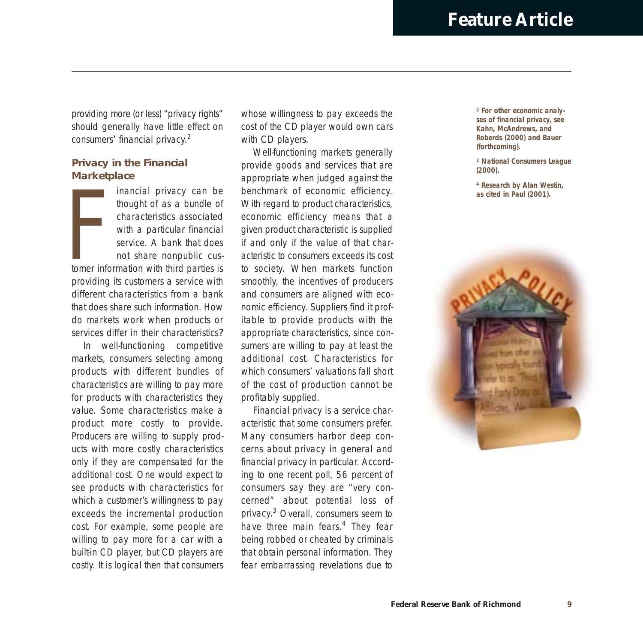providing more (or less) "privacy rights" should generally have little effect on consumers' financial privacy.<sup>2</sup>

## **Privacy in the Financial Marketplace**

France info<br>France info inancial privacy can be thought of as a bundle of characteristics associated with a particular financial service. A bank that does not share nonpublic customer information with third parties is providing its customers a service with different characteristics from a bank that does share such information. How do markets work when products or services differ in their characteristics?

In well-functioning competitive markets, consumers selecting among products with different bundles of characteristics are willing to pay more for products with characteristics they value. Some characteristics make a product more costly to provide. Producers are willing to supply products with more costly characteristics only if they are compensated for the additional cost. One would expect to see products with characteristics for which a customer's willingness to pay exceeds the incremental production cost. For example, some people are willing to pay more for a car with a built-in CD player, but CD players are costly. It is logical then that consumers

whose willingness to pay exceeds the cost of the CD player would own cars with CD players.

Well-functioning markets generally provide goods and services that are appropriate when judged against the benchmark of economic efficiency. With regard to product characteristics, economic efficiency means that a given product characteristic is supplied if and only if the value of that characteristic to consumers exceeds its cost to society. When markets function smoothly, the incentives of producers and consumers are aligned with economic efficiency. Suppliers find it profitable to provide products with the appropriate characteristics, since consumers are willing to pay at least the additional cost. Characteristics for which consumers' valuations fall short of the cost of production cannot be profitably supplied.

Financial privacy is a service characteristic that some consumers prefer. Many consumers harbor deep concerns about privacy in general and financial privacy in particular. According to one recent poll, 56 percent of consumers say they are "very concerned" about potential loss of privacy.<sup>3</sup> Overall, consumers seem to have three main fears.<sup>4</sup> They fear being robbed or cheated by criminals that obtain personal information. They fear embarrassing revelations due to

**<sup>2</sup> For other economic analyses of financial privacy, see Kahn, McAndrews, and Roberds (2000) and Bauer (forthcoming).**

**<sup>3</sup> National Consumers League (2000).**

**<sup>4</sup> Research by Alan Westin, as cited in Paul (2001).**

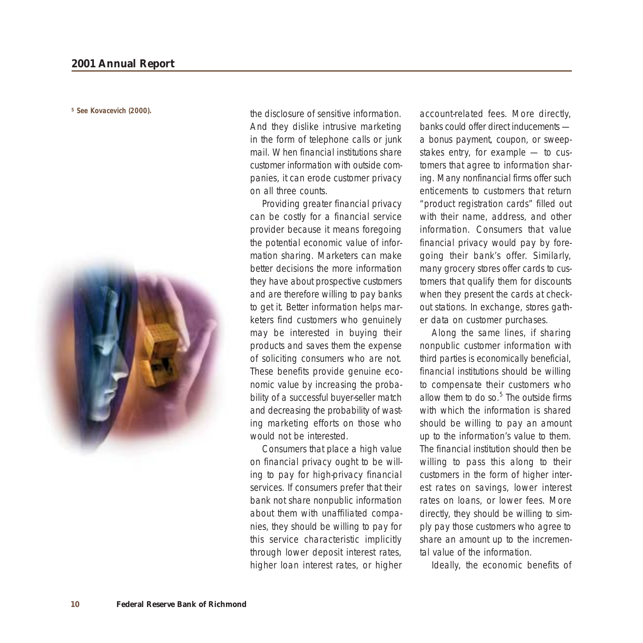**<sup>5</sup> See Kovacevich (2000).**



the disclosure of sensitive information. And they dislike intrusive marketing in the form of telephone calls or junk mail. When financial institutions share customer information with outside companies, it can erode customer privacy on all three counts.

Providing greater financial privacy can be costly for a financial service provider because it means foregoing the potential economic value of information sharing. Marketers can make better decisions the more information they have about prospective customers and are therefore willing to pay banks to get it. Better information helps marketers find customers who genuinely may be interested in buying their products and saves them the expense of soliciting consumers who are not. These benefits provide genuine economic value by increasing the probability of a successful buyer-seller match and decreasing the probability of wasting marketing efforts on those who would not be interested.

Consumers that place a high value on financial privacy ought to be willing to pay for high-privacy financial services. If consumers prefer that their bank not share nonpublic information about them with unaffiliated companies, they should be willing to pay for this service characteristic implicitly through lower deposit interest rates, higher loan interest rates, or higher

account-related fees. More directly, banks could offer direct inducements a bonus payment, coupon, or sweepstakes entry, for example — to customers that agree to information sharing. Many nonfinancial firms offer such enticements to customers that return "product registration cards" filled out with their name, address, and other information. Consumers that value financial privacy would pay by foregoing their bank's offer. Similarly, many grocery stores offer cards to customers that qualify them for discounts when they present the cards at checkout stations. In exchange, stores gather data on customer purchases.

Along the same lines, if sharing nonpublic customer information with third parties is economically beneficial, financial institutions should be willing to compensate their customers who allow them to do so. $5$  The outside firms with which the information is shared should be willing to pay an amount up to the information's value to them. The financial institution should then be willing to pass this along to their customers in the form of higher interest rates on savings, lower interest rates on loans, or lower fees. More directly, they should be willing to simply pay those customers who agree to share an amount up to the incremental value of the information.

Ideally, the economic benefits of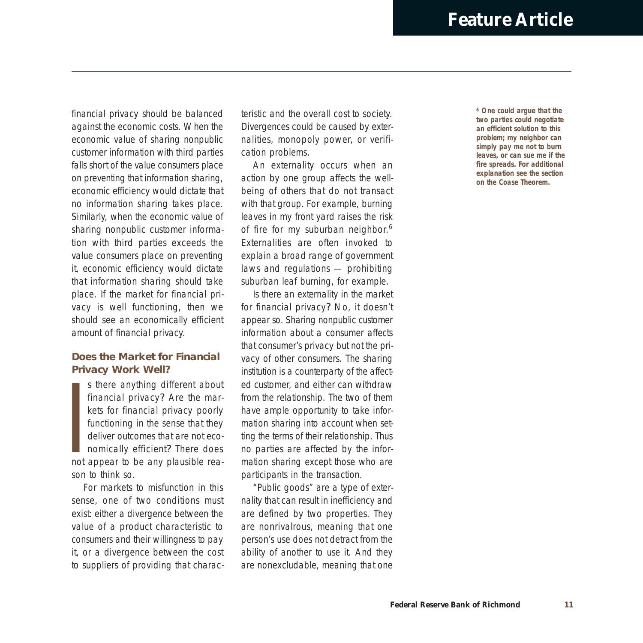financial privacy should be balanced against the economic costs. When the economic value of sharing nonpublic customer information with third parties falls short of the value consumers place on preventing that information sharing, economic efficiency would dictate that no information sharing takes place. Similarly, when the economic value of sharing nonpublic customer information with third parties exceeds the value consumers place on preventing it, economic efficiency would dictate that information sharing should take place. If the market for financial privacy is well functioning, then we should see an economically efficient amount of financial privacy.

## **Does the Market for Financial Privacy Work Well?**

I s there anything different about financial privacy? Are the markets for financial privacy poorly functioning in the sense that they deliver outcomes that are not economically efficient? There does not appear to be any plausible reason to think so.

For markets to misfunction in this sense, one of two conditions must exist: either a divergence between the value of a product characteristic to consumers and their willingness to pay it, or a divergence between the cost to suppliers of providing that characteristic and the overall cost to society. Divergences could be caused by externalities, monopoly power, or verification problems.

An externality occurs when an action by one group affects the wellbeing of others that do not transact with that group. For example, burning leaves in my front yard raises the risk of fire for my suburban neighbor.<sup>6</sup> Externalities are often invoked to explain a broad range of government laws and regulations — prohibiting suburban leaf burning, for example.

Is there an externality in the market for financial privacy? No, it doesn't appear so. Sharing nonpublic customer information about a consumer affects that consumer's privacy but not the privacy of other consumers. The sharing institution is a counterparty of the affected customer, and either can withdraw from the relationship. The two of them have ample opportunity to take information sharing into account when setting the terms of their relationship. Thus no parties are affected by the information sharing except those who are participants in the transaction.

"Public goods" are a type of externality that can result in inefficiency and are defined by two properties. They are nonrivalrous, meaning that one person's use does not detract from the ability of another to use it. And they are nonexcludable, meaning that one

**<sup>6</sup> One could argue that the two parties could negotiate an efficient solution to this problem; my neighbor can simply pay me not to burn leaves, or can sue me if the fire spreads. For additional explanation see the section on the Coase Theorem.**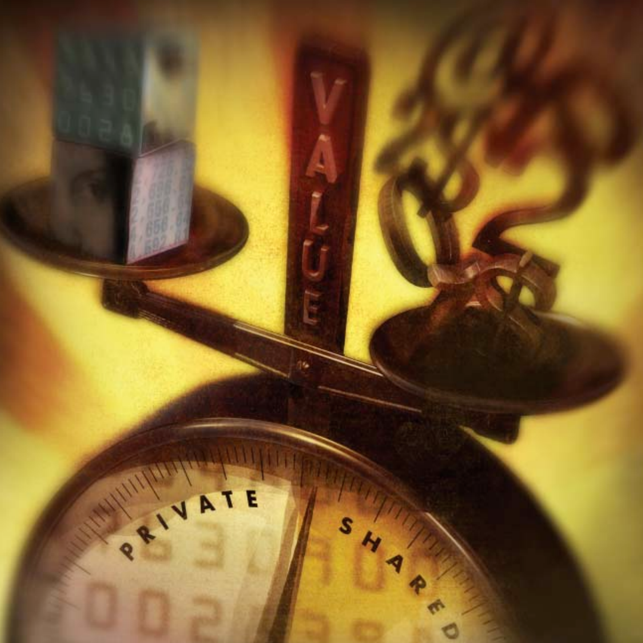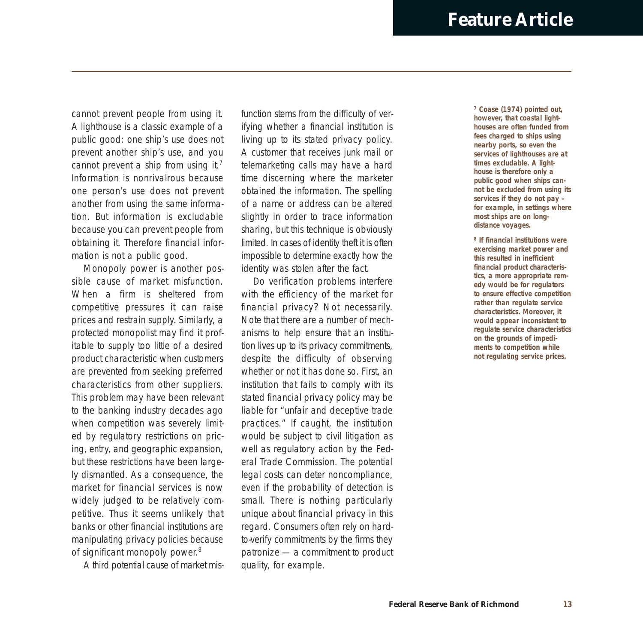cannot prevent people from using it. A lighthouse is a classic example of a public good: one ship's use does not prevent another ship's use, and you cannot prevent a ship from using it.<sup> $7$ </sup> Information is nonrivalrous because one person's use does not prevent another from using the same information. But information is excludable because you can prevent people from obtaining it. Therefore financial information is not a public good.

Monopoly power is another possible cause of market misfunction. When a firm is sheltered from competitive pressures it can raise prices and restrain supply. Similarly, a protected monopolist may find it profitable to supply too little of a desired product characteristic when customers are prevented from seeking preferred characteristics from other suppliers. This problem may have been relevant to the banking industry decades ago when competition was severely limited by regulatory restrictions on pricing, entry, and geographic expansion, but these restrictions have been largely dismantled. As a consequence, the market for financial services is now widely judged to be relatively competitive. Thus it seems unlikely that banks or other financial institutions are manipulating privacy policies because of significant monopoly power.<sup>8</sup>

A third potential cause of market mis-

function stems from the difficulty of verifying whether a financial institution is living up to its stated privacy policy. A customer that receives junk mail or telemarketing calls may have a hard time discerning where the marketer obtained the information. The spelling of a name or address can be altered slightly in order to trace information sharing, but this technique is obviously limited. In cases of identity theft it is often impossible to determine exactly how the identity was stolen after the fact.

Do verification problems interfere with the efficiency of the market for financial privacy? Not necessarily. Note that there are a number of mechanisms to help ensure that an institution lives up to its privacy commitments, despite the difficulty of observing whether or not it has done so. First, an institution that fails to comply with its stated financial privacy policy may be liable for "unfair and deceptive trade practices." If caught, the institution would be subject to civil litigation as well as regulatory action by the Federal Trade Commission. The potential legal costs can deter noncompliance, even if the probability of detection is small. There is nothing particularly unique about financial privacy in this regard. Consumers often rely on hardto-verify commitments by the firms they patronize — a commitment to product quality, for example.

**<sup>7</sup> Coase (1974) pointed out, however, that coastal lighthouses are often funded from fees charged to ships using nearby ports, so even the services of lighthouses are at times excludable. A lighthouse is therefore only a public good when ships cannot be excluded from using its services if they do not pay – for example, in settings where most ships are on longdistance voyages.**

**<sup>8</sup> If financial institutions were exercising market power and this resulted in inefficient financial product characteristics, a more appropriate remedy would be for regulators to ensure effective competition rather than regulate service characteristics. Moreover, it would appear inconsistent to regulate service characteristics on the grounds of impediments to competition while not regulating service prices.**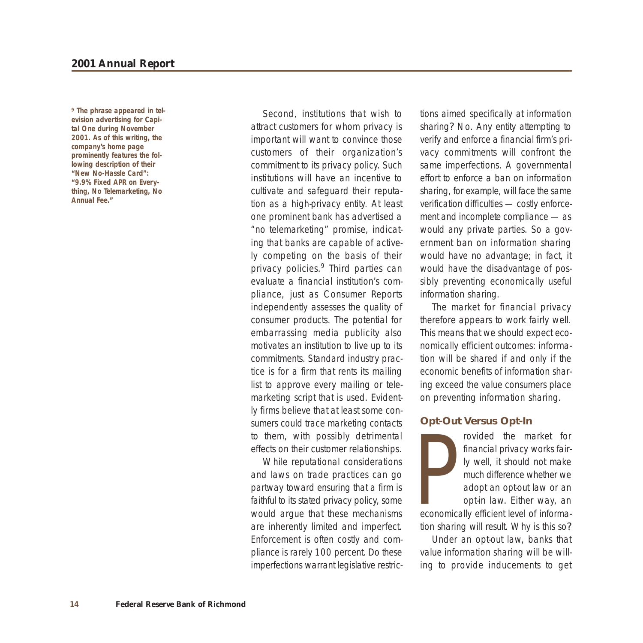**<sup>9</sup> The phrase appeared in television advertising for Capital One during November 2001. As of this writing, the company's home page prominently features the following description of their "New No-Hassle Card": "9.9% Fixed APR on Everything, No Telemarketing, No Annual Fee."**

Second, institutions that wish to attract customers for whom privacy is important will want to convince those customers of their organization's commitment to its privacy policy. Such institutions will have an incentive to cultivate and safeguard their reputation as a high-privacy entity. At least one prominent bank has advertised a "no telemarketing" promise, indicating that banks are capable of actively competing on the basis of their privacy policies.<sup>9</sup> Third parties can evaluate a financial institution's compliance, just as *Consumer Reports* independently assesses the quality of consumer products. The potential for embarrassing media publicity also motivates an institution to live up to its commitments. Standard industry practice is for a firm that rents its mailing list to approve every mailing or telemarketing script that is used. Evidently firms believe that at least some consumers could trace marketing contacts to them, with possibly detrimental effects on their customer relationships.

While reputational considerations and laws on trade practices can go partway toward ensuring that a firm is faithful to its stated privacy policy, some would argue that these mechanisms are inherently limited and imperfect. Enforcement is often costly and compliance is rarely 100 percent. Do these imperfections warrant legislative restrictions aimed specifically at information sharing? No. Any entity attempting to verify and enforce a financial firm's privacy commitments will confront the same imperfections. A governmental effort to enforce a ban on information sharing, for example, will face the same verification difficulties — costly enforcement and incomplete compliance — as would any private parties. So a government ban on information sharing would have no advantage; in fact, it would have the disadvantage of possibly preventing economically useful information sharing.

The market for financial privacy therefore appears to work fairly well. This means that we should expect economically efficient outcomes: information will be shared if and only if the economic benefits of information sharing exceed the value consumers place on preventing information sharing.

## **Opt-Out Versus Opt-In**

**Participal**<br>Proposition shorting rovided the market for financial privacy works fairly well, it should not make much difference whether we adopt an opt-out law or an opt-in law. Either way, an

economically efficient level of information sharing will result. Why is this so?

Under an opt-out law, banks that value information sharing will be willing to provide inducements to get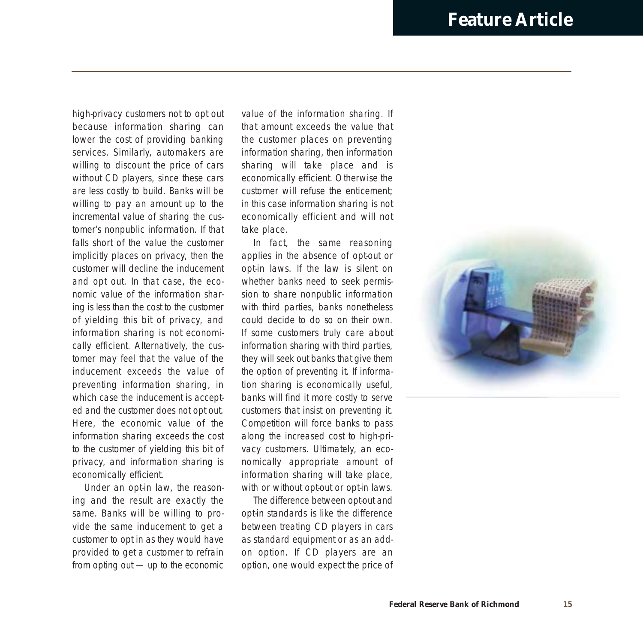high-privacy customers not to opt out because information sharing can lower the cost of providing banking services. Similarly, automakers are willing to discount the price of cars without CD players, since these cars are less costly to build. Banks will be willing to pay an amount up to the incremental value of sharing the customer's nonpublic information. If that falls short of the value the customer implicitly places on privacy, then the customer will decline the inducement and opt out. In that case, the economic value of the information sharing is less than the cost to the customer of yielding this bit of privacy, and information sharing is not economically efficient. Alternatively, the customer may feel that the value of the inducement exceeds the value of preventing information sharing, in which case the inducement is accepted and the customer does not opt out. Here, the economic value of the information sharing exceeds the cost to the customer of yielding this bit of privacy, and information sharing is economically efficient.

Under an opt-in law, the reasoning and the result are exactly the same. Banks will be willing to provide the same inducement to get a customer to opt in as they would have provided to get a customer to refrain from opting out — up to the economic value of the information sharing. If that amount exceeds the value that the customer places on preventing information sharing, then information sharing will take place and is economically efficient. Otherwise the customer will refuse the enticement; in this case information sharing is not economically efficient and will not take place.

In fact, the same reasoning applies in the absence of opt-out or opt-in laws. If the law is silent on whether banks need to seek permission to share nonpublic information with third parties, banks nonetheless could decide to do so on their own. If some customers truly care about information sharing with third parties, they will seek out banks that give them the option of preventing it. If information sharing is economically useful, banks will find it more costly to serve customers that insist on preventing it. Competition will force banks to pass along the increased cost to high-privacy customers. Ultimately, an economically appropriate amount of information sharing will take place, with or without opt-out or opt-in laws.

The difference between opt-out and opt-in standards is like the difference between treating CD players in cars as standard equipment or as an addon option. If CD players are an option, one would expect the price of

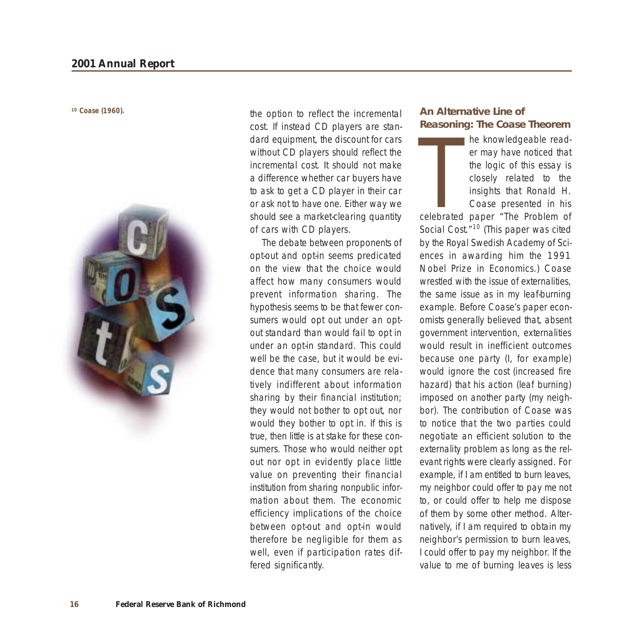**<sup>10</sup> Coase (1960).**



the option to reflect the incremental cost. If instead CD players are standard equipment, the discount for cars without CD players should reflect the incremental cost. It should not make a difference whether car buyers have to ask to get a CD player in their car or ask not to have one. Either way we should see a market-clearing quantity of cars with CD players.

The debate between proponents of opt-out and opt-in seems predicated on the view that the choice would affect how many consumers would prevent information sharing. The hypothesis seems to be that fewer consumers would opt out under an optout standard than would fail to opt in under an opt-in standard. This could well be the case, but it would be evidence that many consumers are relatively indifferent about information sharing by their financial institution; they would not bother to opt out, nor would they bother to opt in. If this is true, then little is at stake for these consumers. Those who would neither opt out nor opt in evidently place little value on preventing their financial institution from sharing nonpublic information about them. The economic efficiency implications of the choice between opt-out and opt-in would therefore be negligible for them as well, even if participation rates differed significantly.

## **An Alternative Line of Reasoning: The Coase Theorem**

The knowledgeable read-<br>
er may have noticed that<br>
the logic of this essay is<br>
closely related to the<br>
insights that Ronald H.<br>
Coase presented in his<br>
celebrated paper "The Problem of<br>
Social Cost "<sup>10</sup> (This paper was ci he knowledgeable reader may have noticed that the logic of this essay is closely related to the insights that Ronald H. Coase presented in his

Social Cost."<sup>10</sup> (This paper was cited by the Royal Swedish Academy of Sciences in awarding him the 1991 Nobel Prize in Economics.) Coase wrestled with the issue of externalities, the same issue as in my leaf-burning example. Before Coase's paper economists generally believed that, absent government intervention, externalities would result in inefficient outcomes because one party (I, for example) would ignore the cost (increased fire hazard) that his action (leaf burning) imposed on another party (my neighbor). The contribution of Coase was to notice that the two parties could negotiate an efficient solution to the externality problem as long as the relevant rights were clearly assigned. For example, if I am entitled to burn leaves, my neighbor could offer to pay me not to, or could offer to help me dispose of them by some other method. Alternatively, if I am required to obtain my neighbor's permission to burn leaves, I could offer to pay my neighbor. If the value to me of burning leaves is less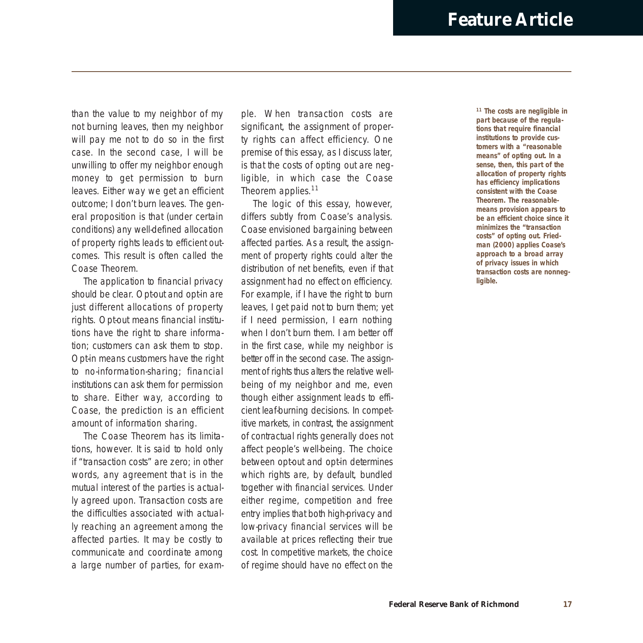than the value to my neighbor of my not burning leaves, then my neighbor will pay me not to do so in the first case. In the second case, I will be unwilling to offer my neighbor enough money to get permission to burn leaves. Either way we get an efficient outcome; I don't burn leaves. The general proposition is that (under certain conditions) any well-defined allocation of property rights leads to efficient outcomes. This result is often called the Coase Theorem.

The application to financial privacy should be clear. Opt-out and opt-in are just different allocations of property rights. Opt-out means financial institutions have the right to share information; customers can ask them to stop. Opt-in means customers have the right to no-information-sharing; financial institutions can ask them for permission to share. Either way, according to Coase, the prediction is an efficient amount of information sharing.

The Coase Theorem has its limitations, however. It is said to hold only if "transaction costs" are zero; in other words, any agreement that is in the mutual interest of the parties is actually agreed upon. Transaction costs are the difficulties associated with actually reaching an agreement among the affected parties. It may be costly to communicate and coordinate among a large number of parties, for exam-

ple. When transaction costs are significant, the assignment of property rights can affect efficiency. One premise of this essay, as I discuss later, is that the costs of opting out are negligible, in which case the Coase Theorem applies.<sup>11</sup>

The logic of this essay, however, differs subtly from Coase's analysis. Coase envisioned bargaining between affected parties. As a result, the assignment of property rights could alter the distribution of net benefits, even if that assignment had no effect on efficiency. For example, if I have the right to burn leaves, I get paid not to burn them; yet if I need permission, I earn nothing when I don't burn them. I am better off in the first case, while my neighbor is better off in the second case. The assignment of rights thus alters the relative wellbeing of my neighbor and me, even though either assignment leads to efficient leaf-burning decisions. In competitive markets, in contrast, the assignment of contractual rights generally does not affect people's well-being. The choice between opt-out and opt-in determines which rights are, by default, bundled together with financial services. Under either regime, competition and free entry implies that both high-privacy and low-privacy financial services will be available at prices reflecting their true cost. In competitive markets, the choice of regime should have no effect on the

**<sup>11</sup> The costs are negligible in part because of the regulations that require financial institutions to provide customers with a "reasonable means" of opting out. In a sense, then, this part of the allocation of property rights has efficiency implications consistent with the Coase Theorem. The reasonablemeans provision appears to be an efficient choice since it minimizes the "transaction costs" of opting out. Friedman (2000) applies Coase's approach to a broad array of privacy issues in which transaction costs are nonnegligible.**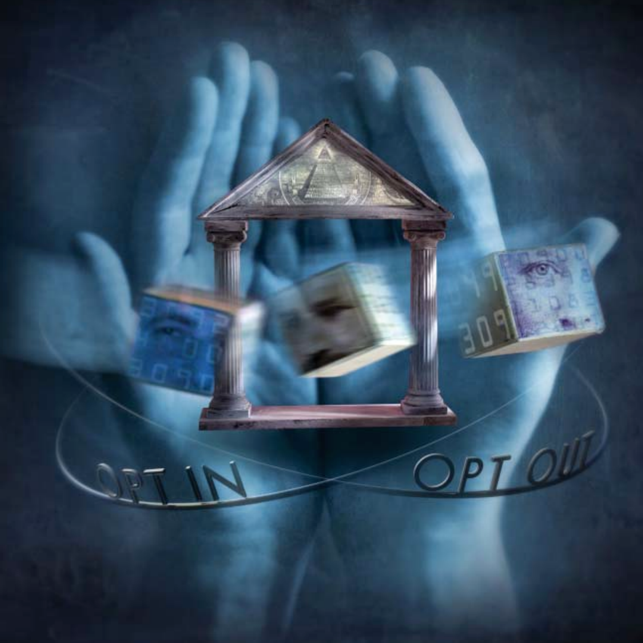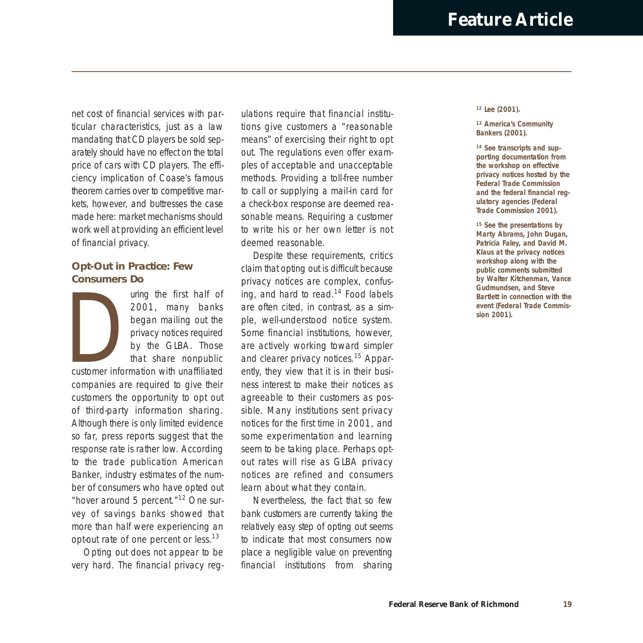net cost of financial services with particular characteristics, just as a law mandating that CD players be sold separately should have no effect on the total price of cars with CD players. The efficiency implication of Coase's famous theorem carries over to competitive markets, however, and buttresses the case made here: market mechanisms should work well at providing an efficient level of financial privacy.

## **Opt-Out in Practice: Few Consumers Do**

The first half of 2001, many banks<br>began mailing out the<br>privacy notices required<br>by the GLBA. Those<br>that share nonpublic<br>customer information with unaffiliated<br>companies are nonuired to give their 2001, many banks began mailing out the privacy notices required by the GLBA. Those that share nonpublic customer information with unaffiliated companies are required to give their customers the opportunity to opt out of third-party information sharing. Although there is only limited evidence so far, press reports suggest that the response rate is rather low. According to the trade publication *American Banker*, industry estimates of the number of consumers who have opted out "hover around 5 percent."12 One survey of savings banks showed that more than half were experiencing an opt-out rate of one percent or less.13

Opting out does not appear to be very hard. The financial privacy reg-

ulations require that financial institutions give customers a "reasonable means" of exercising their right to opt out. The regulations even offer examples of acceptable and unacceptable methods. Providing a toll-free number to call or supplying a mail-in card for a check-box response are deemed reasonable means. Requiring a customer to write his or her own letter is not deemed reasonable.

Despite these requirements, critics claim that opting out is difficult because privacy notices are complex, confusing, and hard to read.<sup>14</sup> Food labels are often cited, in contrast, as a simple, well-understood notice system. Some financial institutions, however, are actively working toward simpler and clearer privacy notices.<sup>15</sup> Apparently, they view that it is in their business interest to make their notices as agreeable to their customers as possible. Many institutions sent privacy notices for the first time in 2001, and some experimentation and learning seem to be taking place. Perhaps optout rates will rise as GLBA privacy notices are refined and consumers learn about what they contain.

Nevertheless, the fact that so few bank customers are currently taking the relatively easy step of opting out seems to indicate that most consumers now place a negligible value on preventing financial institutions from sharing

#### **<sup>12</sup> Lee (2001).**

#### **<sup>13</sup> America's Community Bankers (2001).**

**<sup>14</sup> See transcripts and supporting documentation from the workshop on effective privacy notices hosted by the Federal Trade Commission and the federal financial regulatory agencies (Federal Trade Commission 2001).**

**<sup>15</sup> See the presentations by Marty Abrams, John Dugan, Patricia Faley, and David M. Klaus at the privacy notices workshop along with the public comments submitted by Walter Kitchenman, Vance Gudmundsen, and Steve Bartlett in connection with the event (Federal Trade Commission 2001).**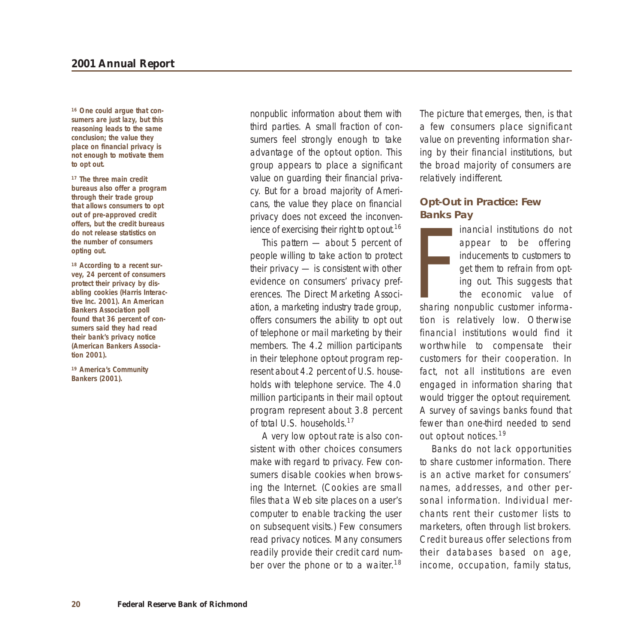**<sup>16</sup> One could argue that consumers are just lazy, but this reasoning leads to the same conclusion; the value they place on financial privacy is not enough to motivate them to opt out.** 

**<sup>17</sup> The three main credit bureaus also offer a program through their trade group that allows consumers to opt out of pre-approved credit offers, but the credit bureaus do not release statistics on the number of consumers opting out.**

**<sup>18</sup> According to a recent survey, 24 percent of consumers protect their privacy by disabling cookies (Harris Interactive Inc. 2001). An American Bankers Association poll found that 36 percent of consumers said they had read their bank's privacy notice (American Bankers Association 2001).**

**<sup>19</sup> America's Community Bankers (2001).**

nonpublic information about them with third parties. A small fraction of consumers feel strongly enough to take advantage of the opt-out option. This group appears to place a significant value on guarding their financial privacy. But for a broad majority of Americans, the value they place on financial privacy does not exceed the inconvenience of exercising their right to opt out.<sup>16</sup>

This pattern — about 5 percent of people willing to take action to protect their privacy — is consistent with other evidence on consumers' privacy preferences. The Direct Marketing Association, a marketing industry trade group, offers consumers the ability to opt out of telephone or mail marketing by their members. The 4.2 million participants in their telephone opt-out program represent about 4.2 percent of U.S. households with telephone service. The 4.0 million participants in their mail opt-out program represent about 3.8 percent of total U.S. households.<sup>17</sup>

A very low opt-out rate is also consistent with other choices consumers make with regard to privacy. Few consumers disable cookies when browsing the Internet. (Cookies are small files that a Web site places on a user's computer to enable tracking the user on subsequent visits.) Few consumers read privacy notices. Many consumers readily provide their credit card number over the phone or to a waiter.<sup>18</sup>

The picture that emerges, then, is that a few consumers place significant value on preventing information sharing by their financial institutions, but the broad majority of consumers are relatively indifferent.

## **Opt-Out in Practice: Few Banks Pay**

inancial institutions do not appear to be offering inducements to customers to get them to refrain from opting out. This suggests that the economic value of

Sharing n sharing nonpublic customer information is relatively low. Otherwise financial institutions would find it worthwhile to compensate their customers for their cooperation. In fact, not all institutions are even engaged in information sharing that would trigger the opt-out requirement. A survey of savings banks found that fewer than one-third needed to send out opt-out notices.<sup>19</sup>

Banks do not lack opportunities to share customer information. There is an active market for consumers' names, addresses, and other personal information. Individual merchants rent their customer lists to marketers, often through list brokers. Credit bureaus offer selections from their databases based on age, income, occupation, family status,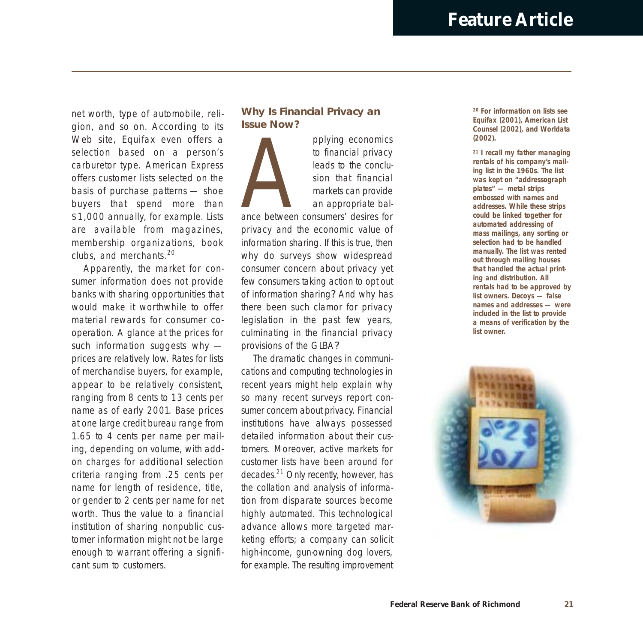net worth, type of automobile, religion, and so on. According to its Web site, Equifax even offers a selection based on a person's carburetor type. American Express offers customer lists selected on the basis of purchase patterns — shoe buyers that spend more than \$1,000 annually, for example. Lists are available from magazines, membership organizations, book clubs, and merchants.<sup>20</sup>

Apparently, the market for consumer information does not provide banks with sharing opportunities that would make it worthwhile to offer material rewards for consumer cooperation. A glance at the prices for such information suggests why prices are relatively low. Rates for lists of merchandise buyers, for example, appear to be relatively consistent, ranging from 8 cents to 13 cents per name as of early 2001. Base prices at one large credit bureau range from 1.65 to 4 cents per name per mailing, depending on volume, with addon charges for additional selection criteria ranging from .25 cents per name for length of residence, title, or gender to 2 cents per name for net worth. Thus the value to a financial institution of sharing nonpublic customer information might not be large enough to warrant offering a significant sum to customers.

## **Why Is Financial Privacy an Issue Now?**

pplying economics<br>to financial privacy<br>leads to the conclu-<br>sion that financial<br>markets can provide<br>an appropriate bal-<br>ance between consumers' desires for to financial privacy leads to the conclusion that financial markets can provide an appropriate bal-

ance between consumers' desires for privacy and the economic value of information sharing. If this is true, then why do surveys show widespread consumer concern about privacy yet few consumers taking action to opt out of information sharing? And why has there been such clamor for privacy legislation in the past few years, culminating in the financial privacy provisions of the GLBA?

The dramatic changes in communications and computing technologies in recent years might help explain why so many recent surveys report consumer concern about privacy. Financial institutions have always possessed detailed information about their customers. Moreover, active markets for customer lists have been around for decades.21 Only recently, however, has the collation and analysis of information from disparate sources become highly automated. This technological advance allows more targeted marketing efforts; a company can solicit high-income, gun-owning dog lovers, for example. The resulting improvement

**<sup>20</sup> For information on lists see Equifax (2001), American List Counsel (2002), and Worldata (2002).**

**<sup>21</sup> I recall my father managing rentals of his company's mailing list in the 1960s. The list was kept on "addressograph plates" — metal strips embossed with names and addresses. While these strips could be linked together for automated addressing of mass mailings, any sorting or selection had to be handled manually. The list was rented out through mailing houses that handled the actual printing and distribution. All rentals had to be approved by list owners. Decoys — false names and addresses — were included in the list to provide a means of verification by the list owner.** 

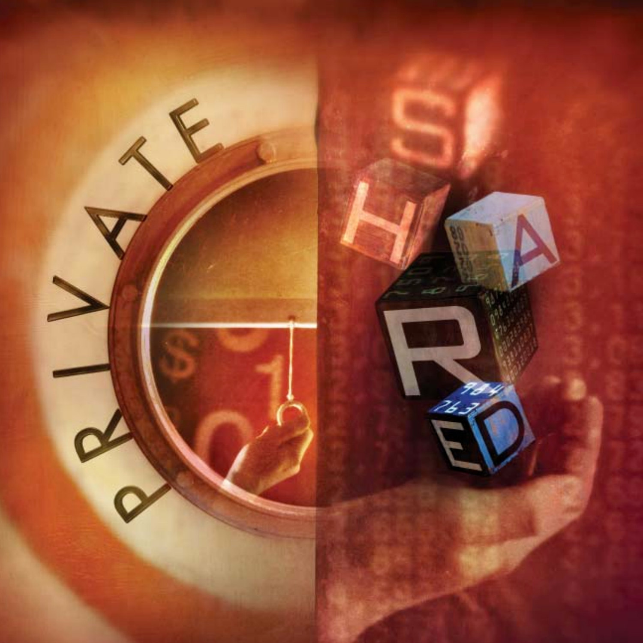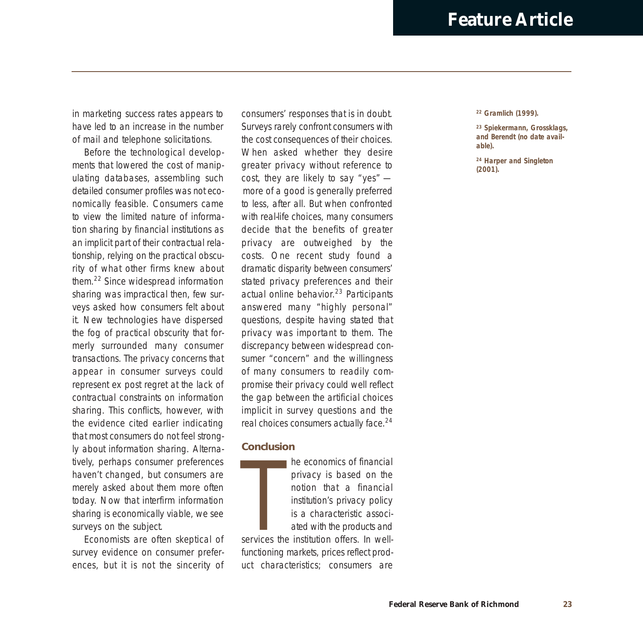in marketing success rates appears to have led to an increase in the number of mail and telephone solicitations.

Before the technological developments that lowered the cost of manipulating databases, assembling such detailed consumer profiles was not economically feasible. Consumers came to view the limited nature of information sharing by financial institutions as an implicit part of their contractual relationship, relying on the *practical obscurity* of what other firms knew about them.22 Since widespread information sharing was impractical then, few surveys asked how consumers felt about it. New technologies have dispersed the fog of practical obscurity that formerly surrounded many consumer transactions. The privacy concerns that appear in consumer surveys could represent ex post regret at the lack of contractual constraints on information sharing. This conflicts, however, with the evidence cited earlier indicating that most consumers do not feel strongly about information sharing. Alternatively, perhaps consumer preferences haven't changed, but consumers are merely asked about them more often today. Now that interfirm information sharing is economically viable, we see surveys on the subject.

Economists are often skeptical of survey evidence on consumer preferences, but it is not the sincerity of consumers' responses that is in doubt. Surveys rarely confront consumers with the cost consequences of their choices. When asked whether they desire greater privacy without reference to cost, they are likely to say "yes" more of a good is generally preferred to less, after all. But when confronted with real-life choices, many consumers decide that the benefits of greater privacy are outweighed by the costs. One recent study found a dramatic disparity between consumers' stated privacy preferences and their actual online behavior.<sup>23</sup> Participants answered many "highly personal" questions, despite having stated that privacy was important to them. The discrepancy between widespread consumer "concern" and the willingness of many consumers to readily compromise their privacy could well reflect the gap between the artificial choices implicit in survey questions and the real choices consumers actually face.<sup>24</sup>

## **Conclusion**

Services the he economics of financial privacy is based on the notion that a financial institution's privacy policy is a characteristic associated with the products and services the institution offers. In wellfunctioning markets, prices reflect product characteristics; consumers are

#### **<sup>22</sup> Gramlich (1999).**

**<sup>23</sup> Spiekermann, Grossklags, and Berendt (no date available).**

**<sup>24</sup> Harper and Singleton (2001).**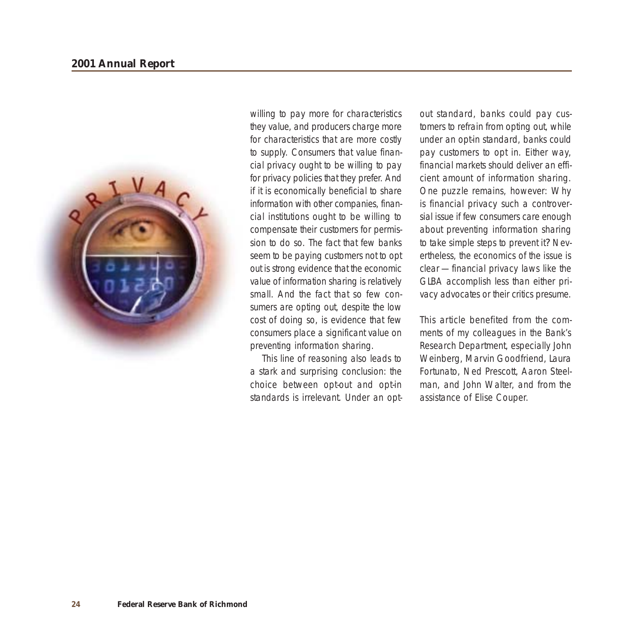

willing to pay more for characteristics they value, and producers charge more for characteristics that are more costly to supply. Consumers that value financial privacy ought to be willing to pay for privacy policies that they prefer. And if it is economically beneficial to share information with other companies, financial institutions ought to be willing to compensate their customers for permission to do so. The fact that few banks seem to be paying customers not to opt out is strong evidence that the economic value of information sharing is relatively small. And the fact that so few consumers are opting out, despite the low cost of doing so, is evidence that few consumers place a significant value on preventing information sharing.

This line of reasoning also leads to a stark and surprising conclusion: the choice between opt-out and opt-in standards is irrelevant. Under an opt-

out standard, banks could pay customers to refrain from opting out, while under an opt-in standard, banks could pay customers to opt in. Either way, financial markets should deliver an efficient amount of information sharing. One puzzle remains, however: Why is financial privacy such a controversial issue if few consumers care enough about preventing information sharing to take simple steps to prevent it? Nevertheless, the economics of the issue is clear —financial privacy laws like the GLBA accomplish less than either privacy advocates or their critics presume.

*This article benefited from the comments of my colleagues in the Bank's Research Department, especially John Weinberg, Marvin Goodfriend, Laura Fortunato, Ned Prescott, Aaron Steelman, and John Walter, and from the assistance of Elise Couper.*